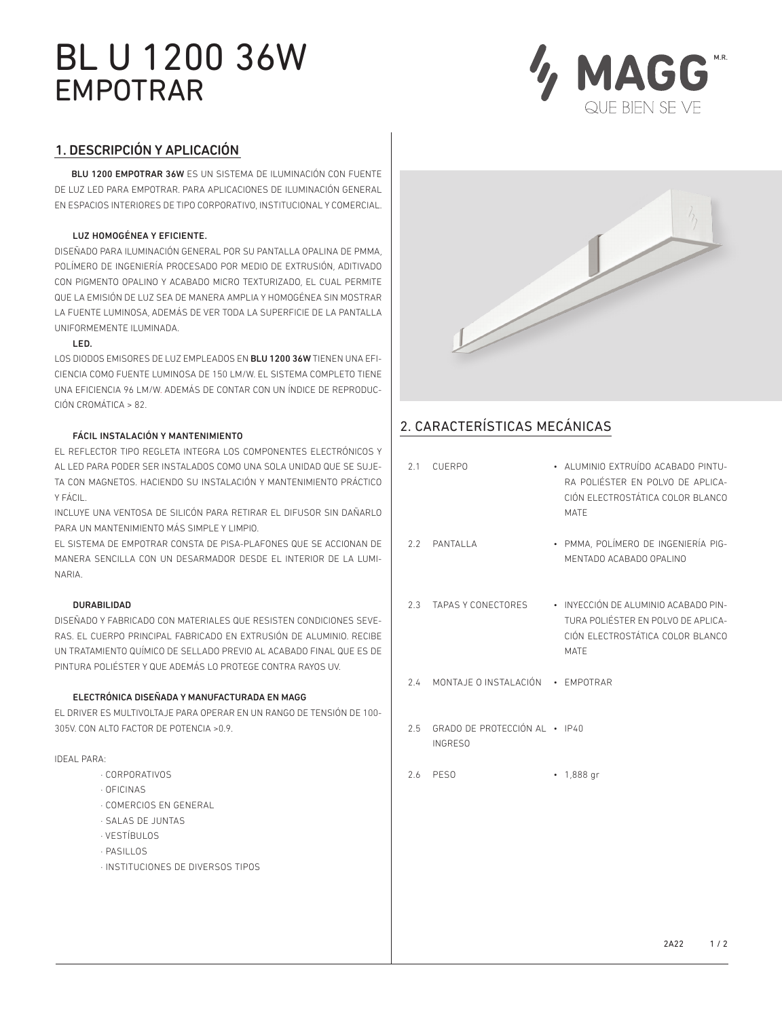# BL U 1200 36W EMPOTRAR



# 1. DESCRIPCIÓN Y APLICACIÓN

 BLU 1200 EMPOTRAR 36W ES UN SISTEMA DE ILUMINACIÓN CON FUENTE DE LUZ LED PARA EMPOTRAR. PARA APLICACIONES DE ILUMINACIÓN GENERAL EN ESPACIOS INTERIORES DE TIPO CORPORATIVO, INSTITUCIONAL Y COMERCIAL.

### LUZ HOMOGÉNEA Y EFICIENTE.

DISEÑADO PARA ILUMINACIÓN GENERAL POR SU PANTALLA OPALINA DE PMMA, POLÍMERO DE INGENIERÍA PROCESADO POR MEDIO DE EXTRUSIÓN, ADITIVADO CON PIGMENTO OPALINO Y ACABADO MICRO TEXTURIZADO, EL CUAL PERMITE QUE LA EMISIÓN DE LUZ SEA DE MANERA AMPLIA Y HOMOGÉNEA SIN MOSTRAR LA FUENTE LUMINOSA, ADEMÁS DE VER TODA LA SUPERFICIE DE LA PANTALLA UNIFORMEMENTE ILUMINADA.

### LED.

LOS DIODOS EMISORES DE LUZ EMPLEADOS EN BLU 1200 36W TIENEN UNA EFI-CIENCIA COMO FUENTE LUMINOSA DE 150 LM/W. EL SISTEMA COMPLETO TIENE UNA EFICIENCIA 96 LM/W. ADEMÁS DE CONTAR CON UN ÍNDICE DE REPRODUC-CIÓN CROMÁTICA > 82.

### FÁCIL INSTALACIÓN Y MANTENIMIENTO

EL REFLECTOR TIPO REGLETA INTEGRA LOS COMPONENTES ELECTRÓNICOS Y AL LED PARA PODER SER INSTALADOS COMO UNA SOLA UNIDAD QUE SE SUJE-TA CON MAGNETOS. HACIENDO SU INSTALACIÓN Y MANTENIMIENTO PRÁCTICO Y FÁCIL.

INCLUYE UNA VENTOSA DE SILICÓN PARA RETIRAR EL DIFUSOR SIN DAÑARLO PARA UN MANTENIMIENTO MÁS SIMPLE Y LIMPIO.

EL SISTEMA DE EMPOTRAR CONSTA DE PISA-PLAFONES QUE SE ACCIONAN DE MANERA SENCILLA CON UN DESARMADOR DESDE EL INTERIOR DE LA LUMI-NARIA.

### DURABILIDAD

DISEÑADO Y FABRICADO CON MATERIALES QUE RESISTEN CONDICIONES SEVE-RAS. EL CUERPO PRINCIPAL FABRICADO EN EXTRUSIÓN DE ALUMINIO. RECIBE UN TRATAMIENTO QUÍMICO DE SELLADO PREVIO AL ACABADO FINAL QUE ES DE PINTURA POLIÉSTER Y QUE ADEMÁS LO PROTEGE CONTRA RAYOS UV.

### ELECTRÓNICA DISEÑADA Y MANUFACTURADA EN MAGG

EL DRIVER ES MULTIVOLTAJE PARA OPERAR EN UN RANGO DE TENSIÓN DE 100- 305V. CON ALTO FACTOR DE POTENCIA >0.9.

#### IDEAL PARA:

- · CORPORATIVOS
- · OFICINAS
- · COMERCIOS EN GENERAL
- · SALAS DE JUNTAS
- · VESTÍBULOS
- · PASILLOS
- · INSTITUCIONES DE DIVERSOS TIPOS



# 2. CARACTERÍSTICAS MECÁNICAS

| 2.1 CUERPO                                          | · ALUMINIO EXTRUÍDO ACABADO PINTU-<br>RA POLIÉSTER EN POLVO DE APLICA-<br>CIÓN ELECTROSTÁTICA COLOR BLANCO<br><b>MATE</b> |
|-----------------------------------------------------|---------------------------------------------------------------------------------------------------------------------------|
| 2.2 PANTALLA                                        | · PMMA, POLÍMERO DE INGENIERÍA PIG-<br>MENTADO ACABADO OPALINO                                                            |
| 2.3 TAPAS Y CONECTORES                              | · INYECCIÓN DE ALUMINIO ACABADO PIN-<br>TURA POLIÉSTER EN POLVO DE APLICA-<br>CIÓN ELECTROSTÁTICA COLOR BLANCO<br>MATE    |
| 2.4 MONTAJE O INSTALACIÓN · EMPOTRAR                |                                                                                                                           |
| 2.5 GRADO DE PROTECCIÓN AL · IP40<br><b>INGRESO</b> |                                                                                                                           |
| 2.6 PESO                                            | $\cdot$ 1,888 gr                                                                                                          |
|                                                     |                                                                                                                           |
|                                                     |                                                                                                                           |